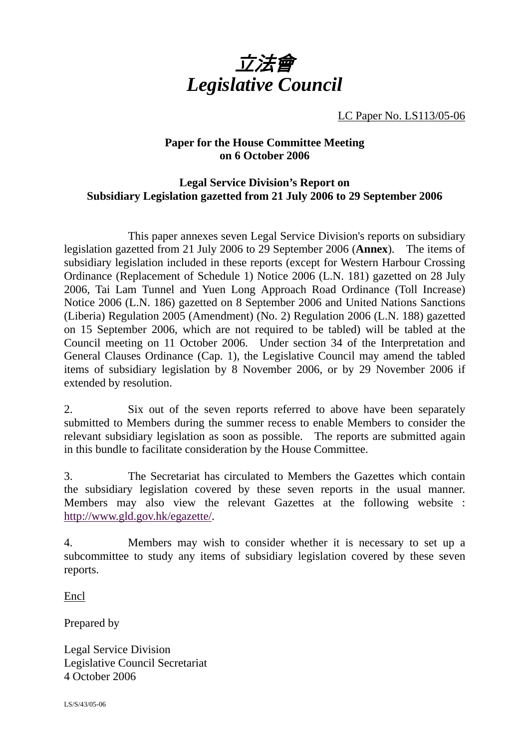

LC Paper No. LS113/05-06

### **Paper for the House Committee Meeting on 6 October 2006**

## **Legal Service Division's Report on Subsidiary Legislation gazetted from 21 July 2006 to 29 September 2006**

 This paper annexes seven Legal Service Division's reports on subsidiary legislation gazetted from 21 July 2006 to 29 September 2006 (**Annex**). The items of subsidiary legislation included in these reports (except for Western Harbour Crossing Ordinance (Replacement of Schedule 1) Notice 2006 (L.N. 181) gazetted on 28 July 2006, Tai Lam Tunnel and Yuen Long Approach Road Ordinance (Toll Increase) Notice 2006 (L.N. 186) gazetted on 8 September 2006 and United Nations Sanctions (Liberia) Regulation 2005 (Amendment) (No. 2) Regulation 2006 (L.N. 188) gazetted on 15 September 2006, which are not required to be tabled) will be tabled at the Council meeting on 11 October 2006. Under section 34 of the Interpretation and General Clauses Ordinance (Cap. 1), the Legislative Council may amend the tabled items of subsidiary legislation by 8 November 2006, or by 29 November 2006 if extended by resolution.

2. Six out of the seven reports referred to above have been separately submitted to Members during the summer recess to enable Members to consider the relevant subsidiary legislation as soon as possible. The reports are submitted again in this bundle to facilitate consideration by the House Committee.

3. The Secretariat has circulated to Members the Gazettes which contain the subsidiary legislation covered by these seven reports in the usual manner. Members may also view the relevant Gazettes at the following website : http://www.gld.gov.hk/egazette/.

4. Members may wish to consider whether it is necessary to set up a subcommittee to study any items of subsidiary legislation covered by these seven reports.

Encl

Prepared by

Legal Service Division Legislative Council Secretariat 4 October 2006

LS/S/43/05-06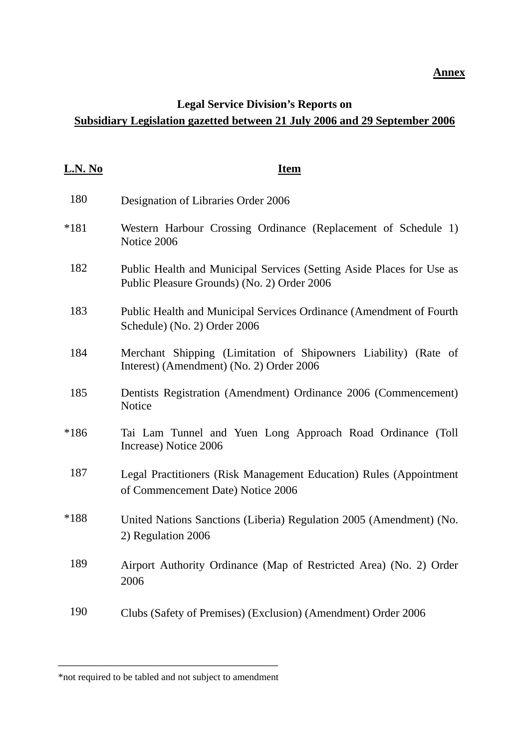#### **Annex**

## **Legal Service Division's Reports on Subsidiary Legislation gazetted between 21 July 2006 and 29 September 2006**

| <u>L.N. No</u> | <b>Item</b>                                                                                                          |
|----------------|----------------------------------------------------------------------------------------------------------------------|
| 180            | Designation of Libraries Order 2006                                                                                  |
| $*181$         | Western Harbour Crossing Ordinance (Replacement of Schedule 1)<br>Notice 2006                                        |
| 182            | Public Health and Municipal Services (Setting Aside Places for Use as<br>Public Pleasure Grounds) (No. 2) Order 2006 |
| 183            | Public Health and Municipal Services Ordinance (Amendment of Fourth<br>Schedule) (No. 2) Order 2006                  |
| 184            | Merchant Shipping (Limitation of Shipowners Liability) (Rate of<br>Interest) (Amendment) (No. 2) Order 2006          |
| 185            | Dentists Registration (Amendment) Ordinance 2006 (Commencement)<br>Notice                                            |
| $*186$         | Tai Lam Tunnel and Yuen Long Approach Road Ordinance (Toll<br>Increase) Notice 2006                                  |
| 187            | Legal Practitioners (Risk Management Education) Rules (Appointment<br>of Commencement Date) Notice 2006              |
| $*188$         | United Nations Sanctions (Liberia) Regulation 2005 (Amendment) (No.<br>2) Regulation 2006                            |
| 189            | Airport Authority Ordinance (Map of Restricted Area) (No. 2) Order<br>2006                                           |
| 190            | Clubs (Safety of Premises) (Exclusion) (Amendment) Order 2006                                                        |

\_\_\_\_\_\_\_\_\_\_\_\_\_\_\_\_\_\_\_\_\_\_\_\_\_\_\_\_\_\_\_\_\_\_\_\_\_\_ \*not required to be tabled and not subject to amendment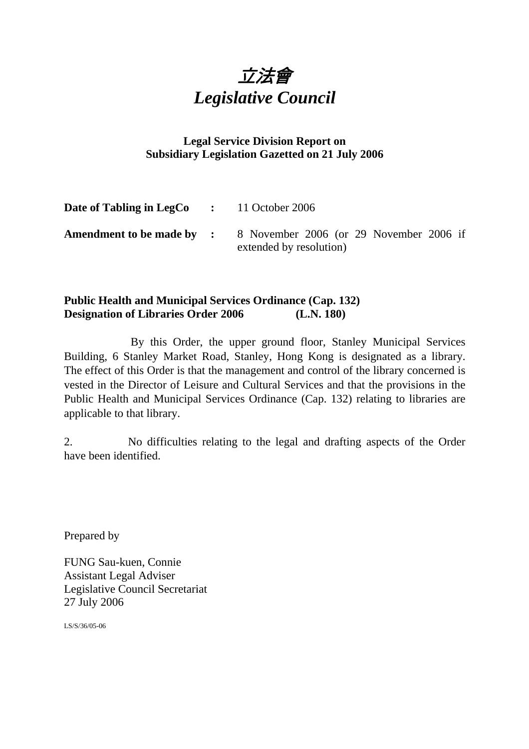

## **Legal Service Division Report on Subsidiary Legislation Gazetted on 21 July 2006**

| <b>Date of Tabling in LegCo</b> : 11 October 2006 |                                                                                                     |
|---------------------------------------------------|-----------------------------------------------------------------------------------------------------|
|                                                   | <b>Amendment to be made by :</b> 8 November 2006 (or 29 November 2006 if<br>extended by resolution) |

## **Public Health and Municipal Services Ordinance (Cap. 132) Designation of Libraries Order 2006 (L.N. 180)**

 By this Order, the upper ground floor, Stanley Municipal Services Building, 6 Stanley Market Road, Stanley, Hong Kong is designated as a library. The effect of this Order is that the management and control of the library concerned is vested in the Director of Leisure and Cultural Services and that the provisions in the Public Health and Municipal Services Ordinance (Cap. 132) relating to libraries are applicable to that library.

2. No difficulties relating to the legal and drafting aspects of the Order have been identified.

Prepared by

FUNG Sau-kuen, Connie Assistant Legal Adviser Legislative Council Secretariat 27 July 2006

LS/S/36/05-06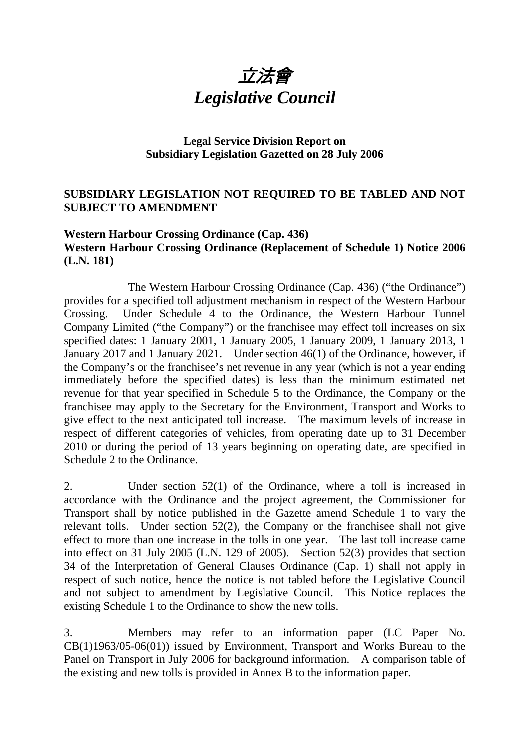

## **Legal Service Division Report on Subsidiary Legislation Gazetted on 28 July 2006**

## **SUBSIDIARY LEGISLATION NOT REQUIRED TO BE TABLED AND NOT SUBJECT TO AMENDMENT**

## **Western Harbour Crossing Ordinance (Cap. 436) Western Harbour Crossing Ordinance (Replacement of Schedule 1) Notice 2006 (L.N. 181)**

 The Western Harbour Crossing Ordinance (Cap. 436) ("the Ordinance") provides for a specified toll adjustment mechanism in respect of the Western Harbour Crossing. Under Schedule 4 to the Ordinance, the Western Harbour Tunnel Company Limited ("the Company") or the franchisee may effect toll increases on six specified dates: 1 January 2001, 1 January 2005, 1 January 2009, 1 January 2013, 1 January 2017 and 1 January 2021. Under section 46(1) of the Ordinance, however, if the Company's or the franchisee's net revenue in any year (which is not a year ending immediately before the specified dates) is less than the minimum estimated net revenue for that year specified in Schedule 5 to the Ordinance, the Company or the franchisee may apply to the Secretary for the Environment, Transport and Works to give effect to the next anticipated toll increase. The maximum levels of increase in respect of different categories of vehicles, from operating date up to 31 December 2010 or during the period of 13 years beginning on operating date, are specified in Schedule 2 to the Ordinance.

2. Under section 52(1) of the Ordinance, where a toll is increased in accordance with the Ordinance and the project agreement, the Commissioner for Transport shall by notice published in the Gazette amend Schedule 1 to vary the relevant tolls. Under section 52(2), the Company or the franchisee shall not give effect to more than one increase in the tolls in one year. The last toll increase came into effect on 31 July 2005 (L.N. 129 of 2005). Section 52(3) provides that section 34 of the Interpretation of General Clauses Ordinance (Cap. 1) shall not apply in respect of such notice, hence the notice is not tabled before the Legislative Council and not subject to amendment by Legislative Council. This Notice replaces the existing Schedule 1 to the Ordinance to show the new tolls.

3. Members may refer to an information paper (LC Paper No. CB(1)1963/05-06(01)) issued by Environment, Transport and Works Bureau to the Panel on Transport in July 2006 for background information. A comparison table of the existing and new tolls is provided in Annex B to the information paper.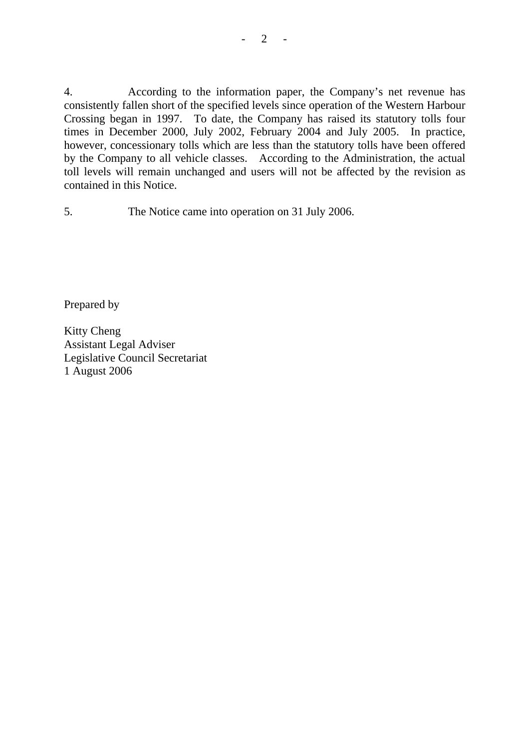4. According to the information paper, the Company's net revenue has consistently fallen short of the specified levels since operation of the Western Harbour Crossing began in 1997. To date, the Company has raised its statutory tolls four times in December 2000, July 2002, February 2004 and July 2005. In practice, however, concessionary tolls which are less than the statutory tolls have been offered by the Company to all vehicle classes. According to the Administration, the actual toll levels will remain unchanged and users will not be affected by the revision as contained in this Notice.

5. The Notice came into operation on 31 July 2006.

Prepared by

Kitty Cheng Assistant Legal Adviser Legislative Council Secretariat 1 August 2006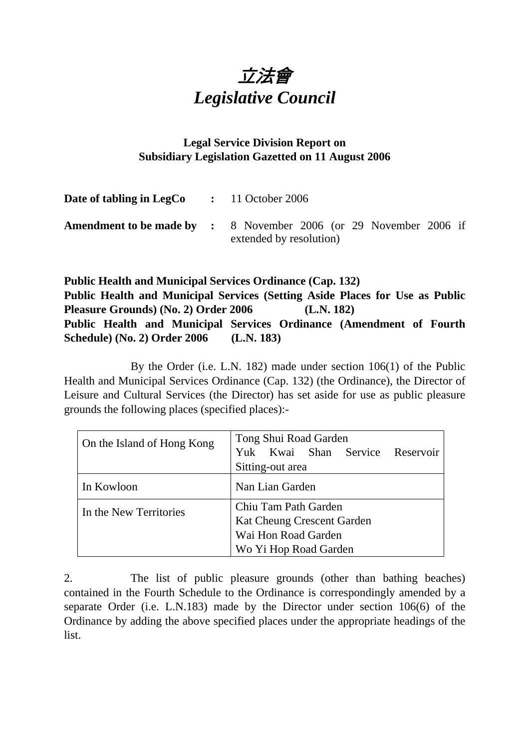

## **Legal Service Division Report on Subsidiary Legislation Gazetted on 11 August 2006**

| Date of tabling in LegCo |  | $\therefore$ 11 October 2006                                                                        |  |  |  |  |
|--------------------------|--|-----------------------------------------------------------------------------------------------------|--|--|--|--|
|                          |  | <b>Amendment to be made by :</b> 8 November 2006 (or 29 November 2006 if<br>extended by resolution) |  |  |  |  |

**Public Health and Municipal Services Ordinance (Cap. 132) Public Health and Municipal Services (Setting Aside Places for Use as Public Pleasure Grounds) (No. 2) Order 2006 (L.N. 182) Public Health and Municipal Services Ordinance (Amendment of Fourth Schedule) (No. 2) Order 2006 (L.N. 183)** 

By the Order (i.e. L.N. 182) made under section 106(1) of the Public Health and Municipal Services Ordinance (Cap. 132) (the Ordinance), the Director of Leisure and Cultural Services (the Director) has set aside for use as public pleasure grounds the following places (specified places):-

| On the Island of Hong Kong | Tong Shui Road Garden<br>Yuk Kwai Shan Service Reservoir<br>Sitting-out area |
|----------------------------|------------------------------------------------------------------------------|
|                            |                                                                              |
| In Kowloon                 | Nan Lian Garden                                                              |
| In the New Territories     | Chiu Tam Path Garden                                                         |
|                            | Kat Cheung Crescent Garden                                                   |
|                            | Wai Hon Road Garden                                                          |
|                            | Wo Yi Hop Road Garden                                                        |

2. The list of public pleasure grounds (other than bathing beaches) contained in the Fourth Schedule to the Ordinance is correspondingly amended by a separate Order (i.e. L.N.183) made by the Director under section 106(6) of the Ordinance by adding the above specified places under the appropriate headings of the list.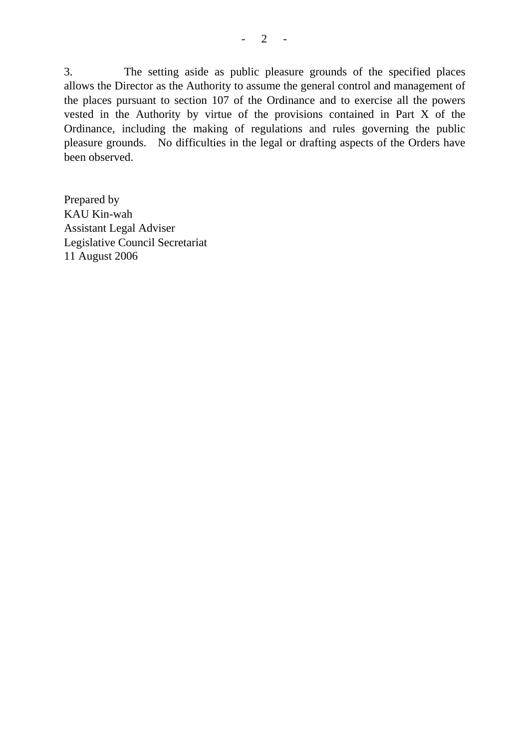3. The setting aside as public pleasure grounds of the specified places allows the Director as the Authority to assume the general control and management of the places pursuant to section 107 of the Ordinance and to exercise all the powers vested in the Authority by virtue of the provisions contained in Part X of the Ordinance, including the making of regulations and rules governing the public pleasure grounds. No difficulties in the legal or drafting aspects of the Orders have been observed.

Prepared by KAU Kin-wah Assistant Legal Adviser Legislative Council Secretariat 11 August 2006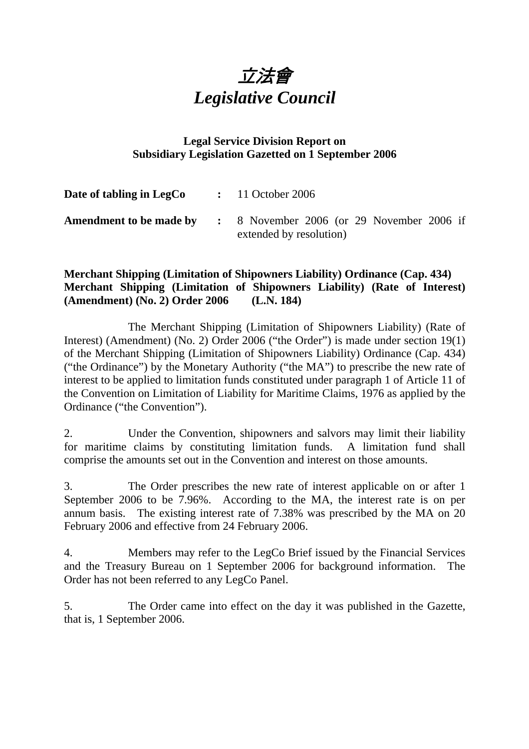

## **Legal Service Division Report on Subsidiary Legislation Gazetted on 1 September 2006**

| Date of tabling in LegCo       |  | $\therefore$ 11 October 2006                                                    |
|--------------------------------|--|---------------------------------------------------------------------------------|
| <b>Amendment to be made by</b> |  | $\therefore$ 8 November 2006 (or 29 November 2006 if<br>extended by resolution) |

## **Merchant Shipping (Limitation of Shipowners Liability) Ordinance (Cap. 434) Merchant Shipping (Limitation of Shipowners Liability) (Rate of Interest) (Amendment) (No. 2) Order 2006 (L.N. 184)**

 The Merchant Shipping (Limitation of Shipowners Liability) (Rate of Interest) (Amendment) (No. 2) Order 2006 ("the Order") is made under section 19(1) of the Merchant Shipping (Limitation of Shipowners Liability) Ordinance (Cap. 434) ("the Ordinance") by the Monetary Authority ("the MA") to prescribe the new rate of interest to be applied to limitation funds constituted under paragraph 1 of Article 11 of the Convention on Limitation of Liability for Maritime Claims, 1976 as applied by the Ordinance ("the Convention").

2. Under the Convention, shipowners and salvors may limit their liability for maritime claims by constituting limitation funds. A limitation fund shall comprise the amounts set out in the Convention and interest on those amounts.

3. The Order prescribes the new rate of interest applicable on or after 1 September 2006 to be 7.96%. According to the MA, the interest rate is on per annum basis. The existing interest rate of 7.38% was prescribed by the MA on 20 February 2006 and effective from 24 February 2006.

4. Members may refer to the LegCo Brief issued by the Financial Services and the Treasury Bureau on 1 September 2006 for background information. The Order has not been referred to any LegCo Panel.

5. The Order came into effect on the day it was published in the Gazette, that is, 1 September 2006.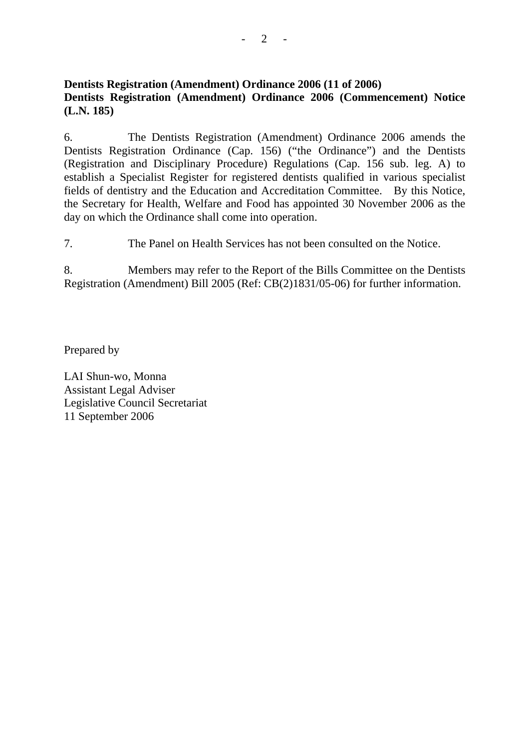## **Dentists Registration (Amendment) Ordinance 2006 (11 of 2006) Dentists Registration (Amendment) Ordinance 2006 (Commencement) Notice (L.N. 185)**

6. The Dentists Registration (Amendment) Ordinance 2006 amends the Dentists Registration Ordinance (Cap. 156) ("the Ordinance") and the Dentists (Registration and Disciplinary Procedure) Regulations (Cap. 156 sub. leg. A) to establish a Specialist Register for registered dentists qualified in various specialist fields of dentistry and the Education and Accreditation Committee. By this Notice, the Secretary for Health, Welfare and Food has appointed 30 November 2006 as the day on which the Ordinance shall come into operation.

7. The Panel on Health Services has not been consulted on the Notice.

8. Members may refer to the Report of the Bills Committee on the Dentists Registration (Amendment) Bill 2005 (Ref: CB(2)1831/05-06) for further information.

Prepared by

LAI Shun-wo, Monna Assistant Legal Adviser Legislative Council Secretariat 11 September 2006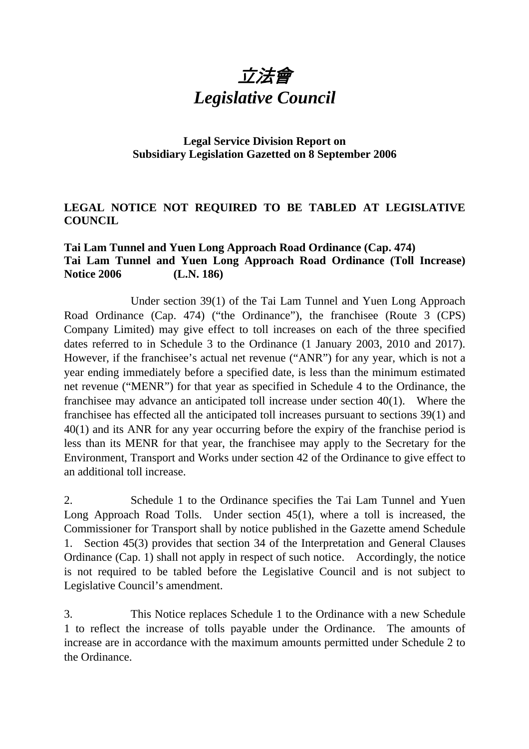

## **Legal Service Division Report on Subsidiary Legislation Gazetted on 8 September 2006**

## **LEGAL NOTICE NOT REQUIRED TO BE TABLED AT LEGISLATIVE COUNCIL**

## **Tai Lam Tunnel and Yuen Long Approach Road Ordinance (Cap. 474) Tai Lam Tunnel and Yuen Long Approach Road Ordinance (Toll Increase) Notice 2006 (L.N. 186)**

 Under section 39(1) of the Tai Lam Tunnel and Yuen Long Approach Road Ordinance (Cap. 474) ("the Ordinance"), the franchisee (Route 3 (CPS) Company Limited) may give effect to toll increases on each of the three specified dates referred to in Schedule 3 to the Ordinance (1 January 2003, 2010 and 2017). However, if the franchisee's actual net revenue ("ANR") for any year, which is not a year ending immediately before a specified date, is less than the minimum estimated net revenue ("MENR") for that year as specified in Schedule 4 to the Ordinance, the franchisee may advance an anticipated toll increase under section 40(1). Where the franchisee has effected all the anticipated toll increases pursuant to sections 39(1) and 40(1) and its ANR for any year occurring before the expiry of the franchise period is less than its MENR for that year, the franchisee may apply to the Secretary for the Environment, Transport and Works under section 42 of the Ordinance to give effect to an additional toll increase.

2. Schedule 1 to the Ordinance specifies the Tai Lam Tunnel and Yuen Long Approach Road Tolls. Under section 45(1), where a toll is increased, the Commissioner for Transport shall by notice published in the Gazette amend Schedule 1. Section 45(3) provides that section 34 of the Interpretation and General Clauses Ordinance (Cap. 1) shall not apply in respect of such notice. Accordingly, the notice is not required to be tabled before the Legislative Council and is not subject to Legislative Council's amendment.

3. This Notice replaces Schedule 1 to the Ordinance with a new Schedule 1 to reflect the increase of tolls payable under the Ordinance. The amounts of increase are in accordance with the maximum amounts permitted under Schedule 2 to the Ordinance.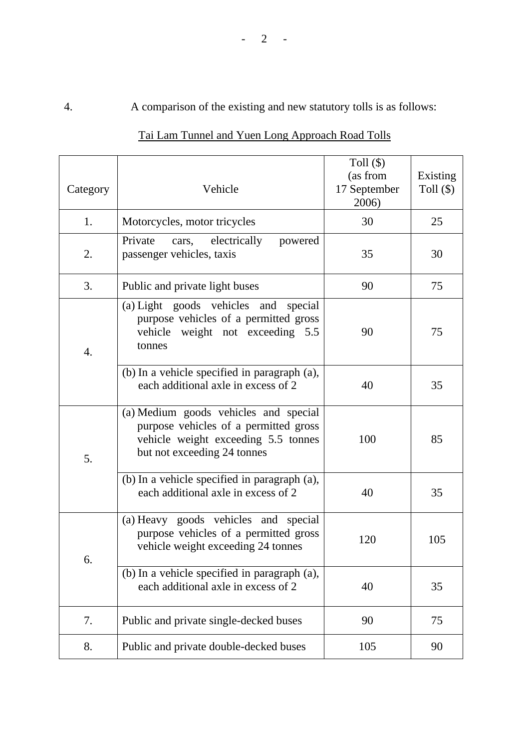# 4. A comparison of the existing and new statutory tolls is as follows:

| Category         | Vehicle                                                                                                                                              | Toll $(\$)$<br>(as from<br>17 September<br>2006) | Existing<br>Toll $(\$)$ |
|------------------|------------------------------------------------------------------------------------------------------------------------------------------------------|--------------------------------------------------|-------------------------|
| 1.               | Motorcycles, motor tricycles                                                                                                                         | 30                                               | 25                      |
| 2.               | Private<br>cars, electrically<br>powered<br>passenger vehicles, taxis                                                                                | 35                                               | 30                      |
| 3.               | Public and private light buses                                                                                                                       | 90                                               | 75                      |
| $\overline{4}$ . | (a) Light goods vehicles and special<br>purpose vehicles of a permitted gross<br>vehicle weight not exceeding 5.5<br>tonnes                          | 90                                               | 75                      |
|                  | (b) In a vehicle specified in paragraph (a),<br>each additional axle in excess of 2                                                                  | 40                                               | 35                      |
| 5.               | (a) Medium goods vehicles and special<br>purpose vehicles of a permitted gross<br>vehicle weight exceeding 5.5 tonnes<br>but not exceeding 24 tonnes | 100                                              | 85                      |
|                  | (b) In a vehicle specified in paragraph (a),<br>each additional axle in excess of 2                                                                  | 40                                               | 35                      |
| 6.               | (a) Heavy goods vehicles and special<br>purpose vehicles of a permitted gross<br>vehicle weight exceeding 24 tonnes                                  | 120                                              | 105                     |
|                  | (b) In a vehicle specified in paragraph (a),<br>each additional axle in excess of 2                                                                  | 40                                               | 35                      |
| 7.               | Public and private single-decked buses                                                                                                               | 90                                               | 75                      |
| 8.               | Public and private double-decked buses                                                                                                               | 105                                              | 90                      |

# Tai Lam Tunnel and Yuen Long Approach Road Tolls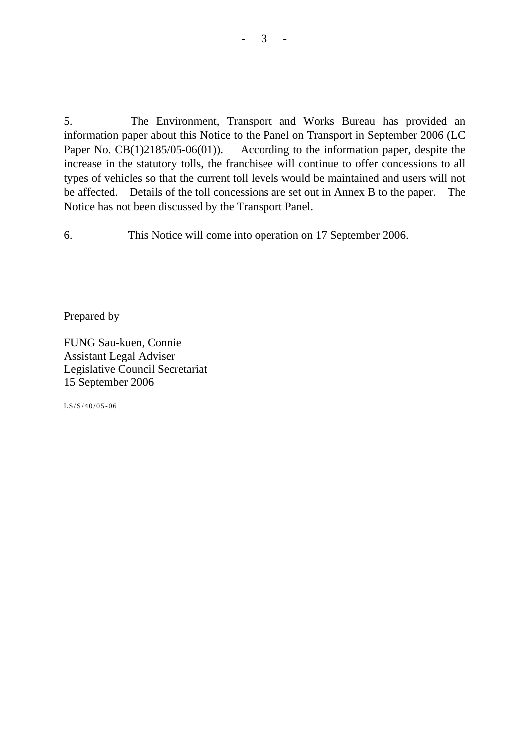5. The Environment, Transport and Works Bureau has provided an information paper about this Notice to the Panel on Transport in September 2006 (LC Paper No. CB(1)2185/05-06(01)). According to the information paper, despite the increase in the statutory tolls, the franchisee will continue to offer concessions to all types of vehicles so that the current toll levels would be maintained and users will not be affected. Details of the toll concessions are set out in Annex B to the paper. The Notice has not been discussed by the Transport Panel.

6. This Notice will come into operation on 17 September 2006.

Prepared by

FUNG Sau-kuen, Connie Assistant Legal Adviser Legislative Council Secretariat 15 September 2006

LS/S/40/05-06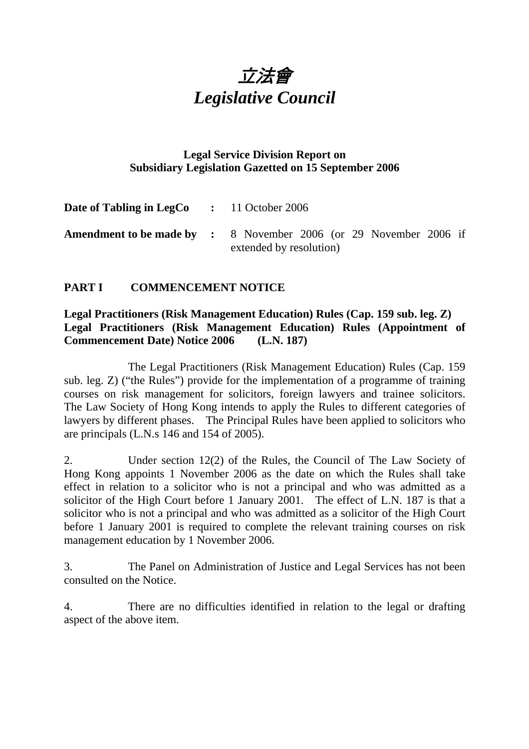

## **Legal Service Division Report on Subsidiary Legislation Gazetted on 15 September 2006**

| <b>Date of Tabling in LegCo</b> : 11 October 2006 |                                                                                                     |
|---------------------------------------------------|-----------------------------------------------------------------------------------------------------|
|                                                   | <b>Amendment to be made by :</b> 8 November 2006 (or 29 November 2006 if<br>extended by resolution) |

## **PART I COMMENCEMENT NOTICE**

#### **Legal Practitioners (Risk Management Education) Rules (Cap. 159 sub. leg. Z) Legal Practitioners (Risk Management Education) Rules (Appointment of Commencement Date) Notice 2006 (L.N. 187)**

1. The Legal Practitioners (Risk Management Education) Rules (Cap. 159 sub. leg. Z) ("the Rules") provide for the implementation of a programme of training courses on risk management for solicitors, foreign lawyers and trainee solicitors. The Law Society of Hong Kong intends to apply the Rules to different categories of lawyers by different phases. The Principal Rules have been applied to solicitors who are principals (L.N.s 146 and 154 of 2005).

2. Under section 12(2) of the Rules, the Council of The Law Society of Hong Kong appoints 1 November 2006 as the date on which the Rules shall take effect in relation to a solicitor who is not a principal and who was admitted as a solicitor of the High Court before 1 January 2001. The effect of L.N. 187 is that a solicitor who is not a principal and who was admitted as a solicitor of the High Court before 1 January 2001 is required to complete the relevant training courses on risk management education by 1 November 2006.

3. The Panel on Administration of Justice and Legal Services has not been consulted on the Notice.

4. There are no difficulties identified in relation to the legal or drafting aspect of the above item.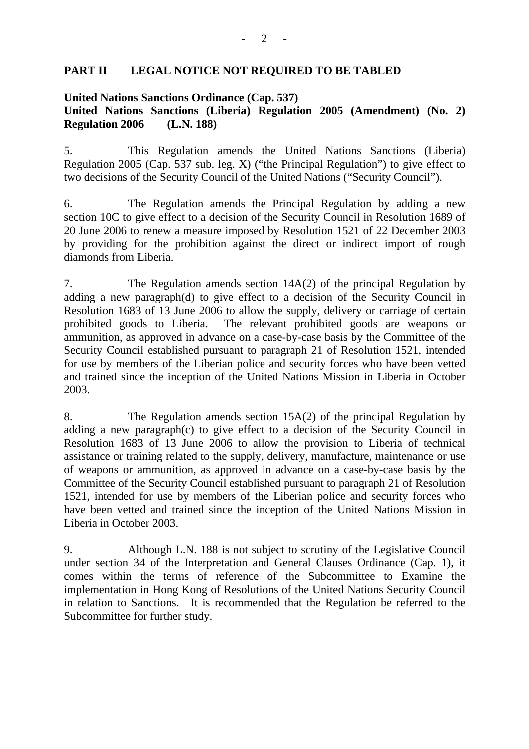#### **PART II LEGAL NOTICE NOT REQUIRED TO BE TABLED**

#### **United Nations Sanctions Ordinance (Cap. 537) United Nations Sanctions (Liberia) Regulation 2005 (Amendment) (No. 2) Regulation 2006 (L.N. 188)**

5. This Regulation amends the United Nations Sanctions (Liberia) Regulation 2005 (Cap. 537 sub. leg. X) ("the Principal Regulation") to give effect to two decisions of the Security Council of the United Nations ("Security Council").

6. The Regulation amends the Principal Regulation by adding a new section 10C to give effect to a decision of the Security Council in Resolution 1689 of 20 June 2006 to renew a measure imposed by Resolution 1521 of 22 December 2003 by providing for the prohibition against the direct or indirect import of rough diamonds from Liberia.

7. The Regulation amends section 14A(2) of the principal Regulation by adding a new paragraph(d) to give effect to a decision of the Security Council in Resolution 1683 of 13 June 2006 to allow the supply, delivery or carriage of certain prohibited goods to Liberia. The relevant prohibited goods are weapons or ammunition, as approved in advance on a case-by-case basis by the Committee of the Security Council established pursuant to paragraph 21 of Resolution 1521, intended for use by members of the Liberian police and security forces who have been vetted and trained since the inception of the United Nations Mission in Liberia in October 2003.

8. The Regulation amends section 15A(2) of the principal Regulation by adding a new paragraph(c) to give effect to a decision of the Security Council in Resolution 1683 of 13 June 2006 to allow the provision to Liberia of technical assistance or training related to the supply, delivery, manufacture, maintenance or use of weapons or ammunition, as approved in advance on a case-by-case basis by the Committee of the Security Council established pursuant to paragraph 21 of Resolution 1521, intended for use by members of the Liberian police and security forces who have been vetted and trained since the inception of the United Nations Mission in Liberia in October 2003.

9. Although L.N. 188 is not subject to scrutiny of the Legislative Council under section 34 of the Interpretation and General Clauses Ordinance (Cap. 1), it comes within the terms of reference of the Subcommittee to Examine the implementation in Hong Kong of Resolutions of the United Nations Security Council in relation to Sanctions. It is recommended that the Regulation be referred to the Subcommittee for further study.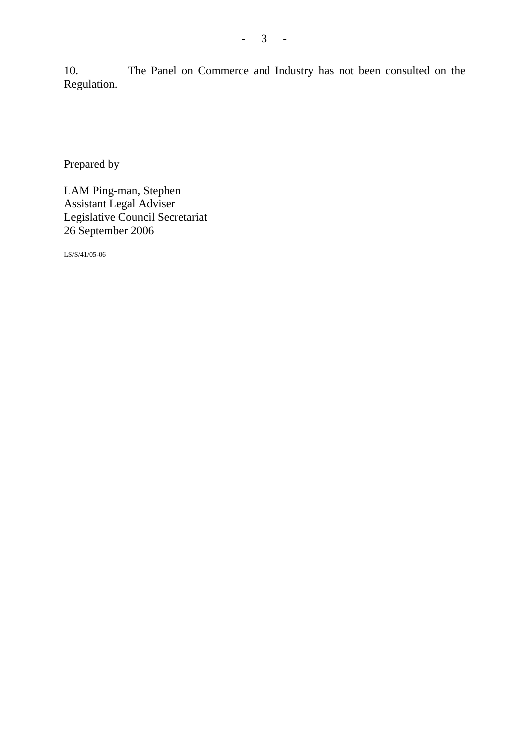10. The Panel on Commerce and Industry has not been consulted on the Regulation.

Prepared by

LAM Ping-man, Stephen Assistant Legal Adviser Legislative Council Secretariat 26 September 2006

LS/S/41/05-06